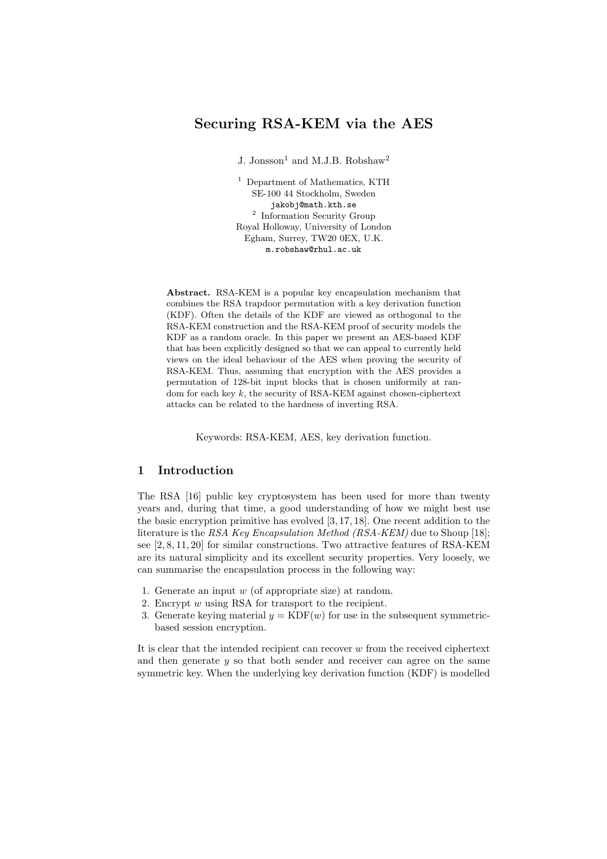# Securing RSA-KEM via the AES

J. Jonsson<sup>1</sup> and M.J.B. Robshaw<sup>2</sup>

<sup>1</sup> Department of Mathematics, KTH SE-100 44 Stockholm, Sweden jakobj@math.kth.se 2 Information Security Group Royal Holloway, University of London Egham, Surrey, TW20 0EX, U.K. m.robshaw@rhul.ac.uk

Abstract. RSA-KEM is a popular key encapsulation mechanism that combines the RSA trapdoor permutation with a key derivation function (KDF). Often the details of the KDF are viewed as orthogonal to the RSA-KEM construction and the RSA-KEM proof of security models the KDF as a random oracle. In this paper we present an AES-based KDF that has been explicitly designed so that we can appeal to currently held views on the ideal behaviour of the AES when proving the security of RSA-KEM. Thus, assuming that encryption with the AES provides a permutation of 128-bit input blocks that is chosen uniformily at random for each key  $k$ , the security of RSA-KEM against chosen-ciphertext attacks can be related to the hardness of inverting RSA.

Keywords: RSA-KEM, AES, key derivation function.

# 1 Introduction

The RSA [16] public key cryptosystem has been used for more than twenty years and, during that time, a good understanding of how we might best use the basic encryption primitive has evolved [3, 17, 18]. One recent addition to the literature is the RSA Key Encapsulation Method (RSA-KEM) due to Shoup [18]; see [2, 8, 11, 20] for similar constructions. Two attractive features of RSA-KEM are its natural simplicity and its excellent security properties. Very loosely, we can summarise the encapsulation process in the following way:

- 1. Generate an input w (of appropriate size) at random.
- 2. Encrypt w using RSA for transport to the recipient.
- 3. Generate keying material  $y = KDF(w)$  for use in the subsequent symmetricbased session encryption.

It is clear that the intended recipient can recover  $w$  from the received ciphertext and then generate  $y$  so that both sender and receiver can agree on the same symmetric key. When the underlying key derivation function (KDF) is modelled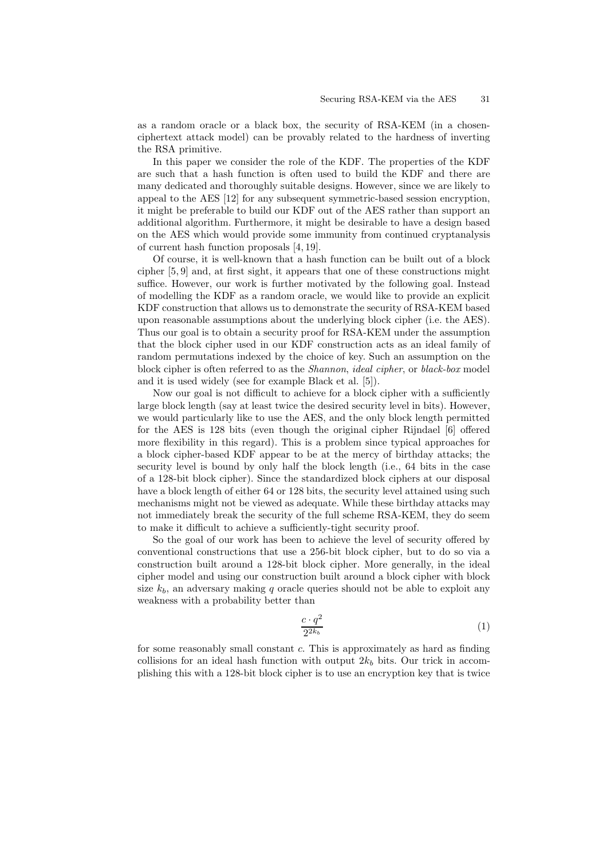as a random oracle or a black box, the security of RSA-KEM (in a chosenciphertext attack model) can be provably related to the hardness of inverting the RSA primitive.

In this paper we consider the role of the KDF. The properties of the KDF are such that a hash function is often used to build the KDF and there are many dedicated and thoroughly suitable designs. However, since we are likely to appeal to the AES [12] for any subsequent symmetric-based session encryption, it might be preferable to build our KDF out of the AES rather than support an additional algorithm. Furthermore, it might be desirable to have a design based on the AES which would provide some immunity from continued cryptanalysis of current hash function proposals [4, 19].

Of course, it is well-known that a hash function can be built out of a block cipher [5, 9] and, at first sight, it appears that one of these constructions might suffice. However, our work is further motivated by the following goal. Instead of modelling the KDF as a random oracle, we would like to provide an explicit KDF construction that allows us to demonstrate the security of RSA-KEM based upon reasonable assumptions about the underlying block cipher (i.e. the AES). Thus our goal is to obtain a security proof for RSA-KEM under the assumption that the block cipher used in our KDF construction acts as an ideal family of random permutations indexed by the choice of key. Such an assumption on the block cipher is often referred to as the Shannon, ideal cipher, or black-box model and it is used widely (see for example Black et al. [5]).

Now our goal is not difficult to achieve for a block cipher with a sufficiently large block length (say at least twice the desired security level in bits). However, we would particularly like to use the AES, and the only block length permitted for the AES is 128 bits (even though the original cipher Rijndael [6] offered more flexibility in this regard). This is a problem since typical approaches for a block cipher-based KDF appear to be at the mercy of birthday attacks; the security level is bound by only half the block length (i.e., 64 bits in the case of a 128-bit block cipher). Since the standardized block ciphers at our disposal have a block length of either 64 or 128 bits, the security level attained using such mechanisms might not be viewed as adequate. While these birthday attacks may not immediately break the security of the full scheme RSA-KEM, they do seem to make it difficult to achieve a sufficiently-tight security proof.

So the goal of our work has been to achieve the level of security offered by conventional constructions that use a 256-bit block cipher, but to do so via a construction built around a 128-bit block cipher. More generally, in the ideal cipher model and using our construction built around a block cipher with block size  $k_b$ , an adversary making q oracle queries should not be able to exploit any weakness with a probability better than

$$
\frac{c \cdot q^2}{2^{2k_b}}\tag{1}
$$

for some reasonably small constant c. This is approximately as hard as finding collisions for an ideal hash function with output  $2k_b$  bits. Our trick in accomplishing this with a 128-bit block cipher is to use an encryption key that is twice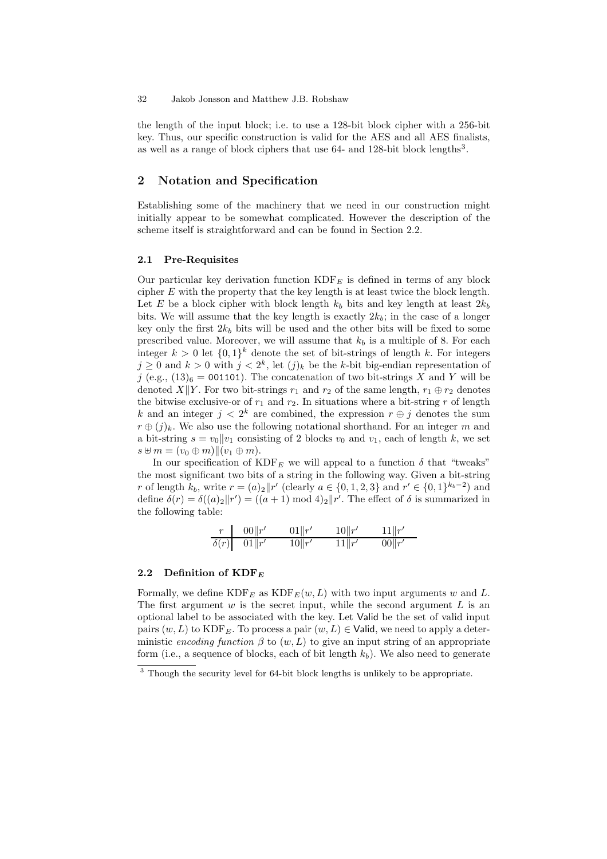the length of the input block; i.e. to use a 128-bit block cipher with a 256-bit key. Thus, our specific construction is valid for the AES and all AES finalists, as well as a range of block ciphers that use  $64$ - and  $128$ -bit block lengths<sup>3</sup>.

### 2 Notation and Specification

Establishing some of the machinery that we need in our construction might initially appear to be somewhat complicated. However the description of the scheme itself is straightforward and can be found in Section 2.2.

#### 2.1 Pre-Requisites

Our particular key derivation function  $KDF_E$  is defined in terms of any block cipher  $E$  with the property that the key length is at least twice the block length. Let E be a block cipher with block length  $k_b$  bits and key length at least  $2k_b$ bits. We will assume that the key length is exactly  $2k_b$ ; in the case of a longer key only the first  $2k_b$  bits will be used and the other bits will be fixed to some prescribed value. Moreover, we will assume that  $k_b$  is a multiple of 8. For each integer  $k > 0$  let  $\{0,1\}^k$  denote the set of bit-strings of length k. For integers  $j \geq 0$  and  $k > 0$  with  $j < 2^k$ , let  $(j)_k$  be the k-bit big-endian representation of j (e.g.,  $(13)_6 = 001101$ ). The concatenation of two bit-strings X and Y will be denoted X $\|Y\|$ . For two bit-strings  $r_1$  and  $r_2$  of the same length,  $r_1 \oplus r_2$  denotes the bitwise exclusive-or of  $r_1$  and  $r_2$ . In situations where a bit-string r of length k and an integer  $j < 2<sup>k</sup>$  are combined, the expression  $r \oplus j$  denotes the sum  $r \oplus (j)_k$ . We also use the following notational shorthand. For an integer m and a bit-string  $s = v_0||v_1$  consisting of 2 blocks  $v_0$  and  $v_1$ , each of length k, we set  $s \uplus m = (v_0 \oplus m) || (v_1 \oplus m).$ 

In our specification of  $\text{KDF}_E$  we will appeal to a function  $\delta$  that "tweaks" the most significant two bits of a string in the following way. Given a bit-string r of length  $k_b$ , write  $r = (a)_2 || r'$  (clearly  $a \in \{0, 1, 2, 3\}$  and  $r' \in \{0, 1\}^{k_b - 2}$ ) and define  $\delta(r) = \delta((a)_2 || r') = ((a + 1) \text{ mod } 4)_2 || r'.$  The effect of  $\delta$  is summarized in the following table:

|             | 00  r'               | 01  r'    | 10  r' | 11  r' |
|-------------|----------------------|-----------|--------|--------|
| $\delta(r)$ | $\overline{01}$   r' | $10$   r' | 11  r' | 00  r' |

### 2.2 Definition of  $KDF_E$

Formally, we define  $KDF_E$  as  $KDF_E(w, L)$  with two input arguments w and L. The first argument  $w$  is the secret input, while the second argument  $L$  is an optional label to be associated with the key. Let Valid be the set of valid input pairs  $(w, L)$  to KDF<sub>E</sub>. To process a pair  $(w, L) \in$  Valid, we need to apply a deterministic encoding function  $\beta$  to  $(w, L)$  to give an input string of an appropriate form (i.e., a sequence of blocks, each of bit length  $k_b$ ). We also need to generate

<sup>3</sup> Though the security level for 64-bit block lengths is unlikely to be appropriate.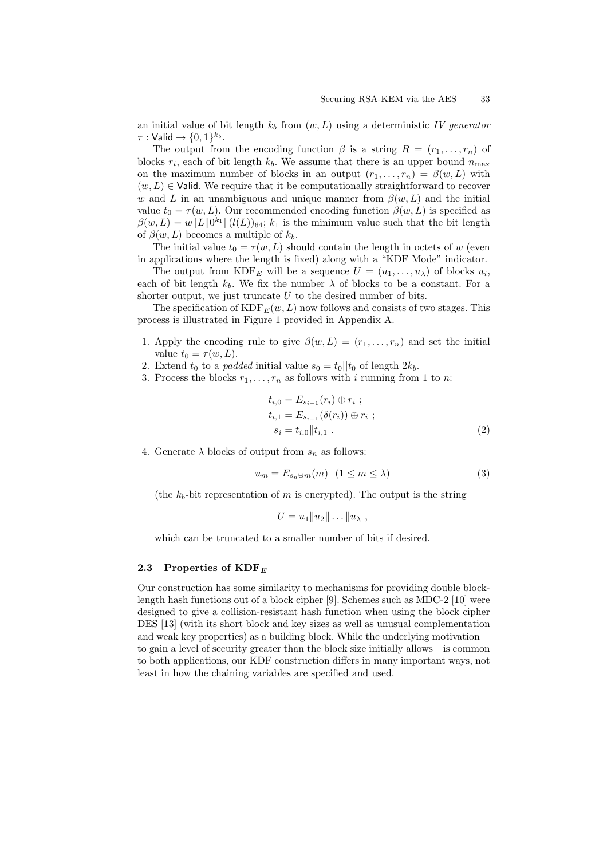an initial value of bit length  $k_b$  from  $(w, L)$  using a deterministic IV generator  $\tau:$  Valid  $\rightarrow \{0,1\}^{k_b}.$ 

The output from the encoding function  $\beta$  is a string  $R = (r_1, \ldots, r_n)$  of blocks  $r_i$ , each of bit length  $k_b$ . We assume that there is an upper bound  $n_{\text{max}}$ on the maximum number of blocks in an output  $(r_1, \ldots, r_n) = \beta(w, L)$  with  $(w, L) \in$  Valid. We require that it be computationally straightforward to recover w and L in an unambiguous and unique manner from  $\beta(w,L)$  and the initial value  $t_0 = \tau(w,L)$ . Our recommended encoding function  $\beta(w,L)$  is specified as  $\beta(w, L) = w \| L \| 0^{k_1} \| (l(L))_{64}; k_1$  is the minimum value such that the bit length of  $\beta(w,L)$  becomes a multiple of  $k_b$ .

The initial value  $t_0 = \tau(w,L)$  should contain the length in octets of w (even in applications where the length is fixed) along with a "KDF Mode" indicator.

The output from KDF<sub>E</sub> will be a sequence  $U = (u_1, \ldots, u_\lambda)$  of blocks  $u_i$ , each of bit length  $k_b$ . We fix the number  $\lambda$  of blocks to be a constant. For a shorter output, we just truncate  $U$  to the desired number of bits.

The specification of  $\text{KDF}_E(w,L)$  now follows and consists of two stages. This process is illustrated in Figure 1 provided in Appendix A.

- 1. Apply the encoding rule to give  $\beta(w, L) = (r_1, \ldots, r_n)$  and set the initial value  $t_0 = \tau(w,L)$ .
- 2. Extend  $t_0$  to a *padded* initial value  $s_0 = t_0||t_0$  of length  $2k_b$ .
- 3. Process the blocks  $r_1, \ldots, r_n$  as follows with i running from 1 to n:

$$
t_{i,0} = E_{s_{i-1}}(r_i) \oplus r_i ;\n t_{i,1} = E_{s_{i-1}}(\delta(r_i)) \oplus r_i ;\n s_i = t_{i,0} || t_{i,1} .
$$
\n(2)

4. Generate  $\lambda$  blocks of output from  $s_n$  as follows:

$$
u_m = E_{s_n \uplus m}(m) \quad (1 \le m \le \lambda)
$$
\n<sup>(3)</sup>

(the  $k_b$ -bit representation of m is encrypted). The output is the string

$$
U=u_1||u_2||\ldots||u_\lambda,
$$

which can be truncated to a smaller number of bits if desired.

### 2.3 Properties of  $KDF_E$

Our construction has some similarity to mechanisms for providing double blocklength hash functions out of a block cipher [9]. Schemes such as MDC-2 [10] were designed to give a collision-resistant hash function when using the block cipher DES [13] (with its short block and key sizes as well as unusual complementation and weak key properties) as a building block. While the underlying motivation to gain a level of security greater than the block size initially allows—is common to both applications, our KDF construction differs in many important ways, not least in how the chaining variables are specified and used.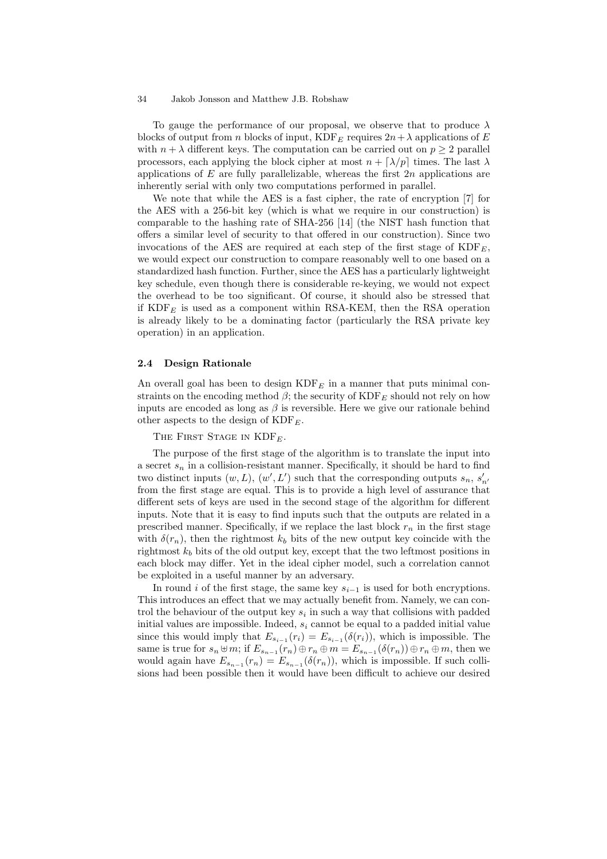To gauge the performance of our proposal, we observe that to produce  $\lambda$ blocks of output from n blocks of input,  $\text{KDF}_E$  requires  $2n+\lambda$  applications of E with  $n + \lambda$  different keys. The computation can be carried out on  $p \geq 2$  parallel processors, each applying the block cipher at most  $n + \lfloor \lambda/p \rfloor$  times. The last  $\lambda$ applications of E are fully parallelizable, whereas the first  $2n$  applications are inherently serial with only two computations performed in parallel.

We note that while the AES is a fast cipher, the rate of encryption [7] for the AES with a 256-bit key (which is what we require in our construction) is comparable to the hashing rate of SHA-256 [14] (the NIST hash function that offers a similar level of security to that offered in our construction). Since two invocations of the AES are required at each step of the first stage of  $KDF_E$ , we would expect our construction to compare reasonably well to one based on a standardized hash function. Further, since the AES has a particularly lightweight key schedule, even though there is considerable re-keying, we would not expect the overhead to be too significant. Of course, it should also be stressed that if  $KDF_E$  is used as a component within RSA-KEM, then the RSA operation is already likely to be a dominating factor (particularly the RSA private key operation) in an application.

#### 2.4 Design Rationale

An overall goal has been to design  $KDF_E$  in a manner that puts minimal constraints on the encoding method  $\beta$ ; the security of KDF<sub>E</sub> should not rely on how inputs are encoded as long as  $\beta$  is reversible. Here we give our rationale behind other aspects to the design of  $KDF_E$ .

THE FIRST STAGE IN  $KDF_E$ .

The purpose of the first stage of the algorithm is to translate the input into a secret  $s_n$  in a collision-resistant manner. Specifically, it should be hard to find two distinct inputs  $(w, L), (w', L')$  such that the corresponding outputs  $s_n, s'_{n'}$ from the first stage are equal. This is to provide a high level of assurance that different sets of keys are used in the second stage of the algorithm for different inputs. Note that it is easy to find inputs such that the outputs are related in a prescribed manner. Specifically, if we replace the last block  $r_n$  in the first stage with  $\delta(r_n)$ , then the rightmost  $k_b$  bits of the new output key coincide with the rightmost  $k_b$  bits of the old output key, except that the two leftmost positions in each block may differ. Yet in the ideal cipher model, such a correlation cannot be exploited in a useful manner by an adversary.

In round i of the first stage, the same key  $s_{i-1}$  is used for both encryptions. This introduces an effect that we may actually benefit from. Namely, we can control the behaviour of the output key  $s_i$  in such a way that collisions with padded initial values are impossible. Indeed,  $s_i$  cannot be equal to a padded initial value since this would imply that  $E_{s_{i-1}}(r_i) = E_{s_{i-1}}(\delta(r_i))$ , which is impossible. The same is true for  $s_n \uplus m$ ; if  $E_{s_{n-1}}(r_n) \oplus r_n \oplus m = E_{s_{n-1}}(\delta(r_n)) \oplus r_n \oplus m$ , then we would again have  $E_{s_{n-1}}(r_n) = E_{s_{n-1}}(\delta(r_n))$ , which is impossible. If such collisions had been possible then it would have been difficult to achieve our desired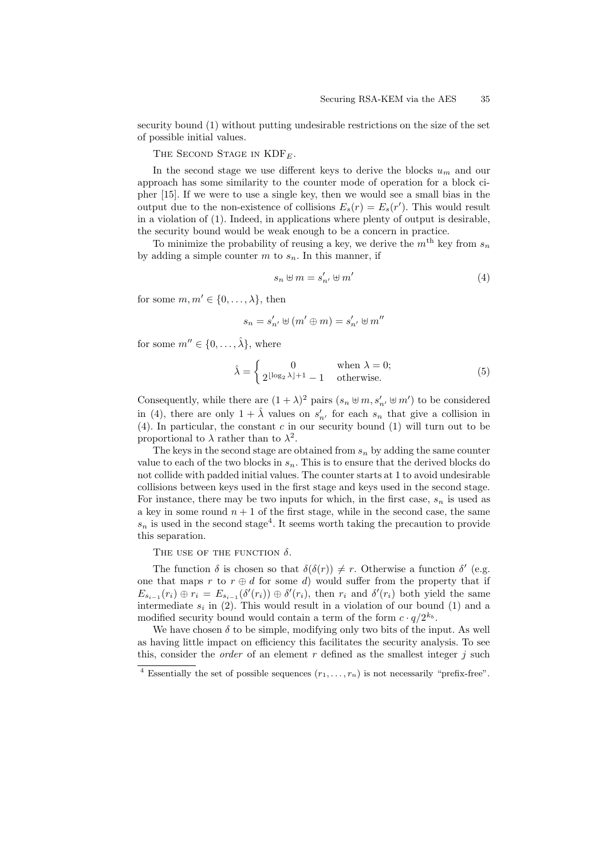security bound (1) without putting undesirable restrictions on the size of the set of possible initial values.

THE SECOND STAGE IN  $KDF_E$ .

In the second stage we use different keys to derive the blocks  $u_m$  and our approach has some similarity to the counter mode of operation for a block cipher [15]. If we were to use a single key, then we would see a small bias in the output due to the non-existence of collisions  $E_s(r) = E_s(r')$ . This would result in a violation of (1). Indeed, in applications where plenty of output is desirable, the security bound would be weak enough to be a concern in practice.

To minimize the probability of reusing a key, we derive the  $m<sup>th</sup>$  key from  $s_n$ by adding a simple counter  $m$  to  $s_n$ . In this manner, if

$$
s_n \uplus m = s'_{n'} \uplus m' \tag{4}
$$

for some  $m, m' \in \{0, \ldots, \lambda\}$ , then

$$
s_n = s'_{n'} \uplus (m' \oplus m) = s'_{n'} \uplus m''
$$

for some  $m'' \in \{0, \ldots, \hat{\lambda}\}\,$ , where

$$
\hat{\lambda} = \begin{cases}\n0 & \text{when } \lambda = 0; \\
2^{\lfloor \log_2 \lambda \rfloor + 1} - 1 & \text{otherwise.}\n\end{cases}
$$
\n(5)

Consequently, while there are  $(1 + \lambda)^2$  pairs  $(s_n \oplus m, s'_{n'} \oplus m')$  to be considered in (4), there are only  $1 + \hat{\lambda}$  values on  $s'_{n'}$  for each  $s_n$  that give a collision in  $(4)$ . In particular, the constant c in our security bound  $(1)$  will turn out to be proportional to  $\lambda$  rather than to  $\lambda^2$ .

The keys in the second stage are obtained from  $s_n$  by adding the same counter value to each of the two blocks in  $s_n$ . This is to ensure that the derived blocks do not collide with padded initial values. The counter starts at 1 to avoid undesirable collisions between keys used in the first stage and keys used in the second stage. For instance, there may be two inputs for which, in the first case,  $s_n$  is used as a key in some round  $n + 1$  of the first stage, while in the second case, the same  $s_n$  is used in the second stage<sup>4</sup>. It seems worth taking the precaution to provide this separation.

THE USE OF THE FUNCTION  $\delta$ .

The function  $\delta$  is chosen so that  $\delta(\delta(r)) \neq r$ . Otherwise a function  $\delta'$  (e.g. one that maps r to  $r \oplus d$  for some d) would suffer from the property that if  $E_{s_{i-1}}(r_i) \oplus r_i = E_{s_{i-1}}(\delta'(r_i)) \oplus \delta'(r_i)$ , then  $r_i$  and  $\delta'(r_i)$  both yield the same intermediate  $s_i$  in (2). This would result in a violation of our bound (1) and a modified security bound would contain a term of the form  $c \cdot q/2^{k_b}$ .

We have chosen  $\delta$  to be simple, modifying only two bits of the input. As well as having little impact on efficiency this facilitates the security analysis. To see this, consider the *order* of an element r defined as the smallest integer  $i$  such

<sup>&</sup>lt;sup>4</sup> Essentially the set of possible sequences  $(r_1, \ldots, r_n)$  is not necessarily "prefix-free".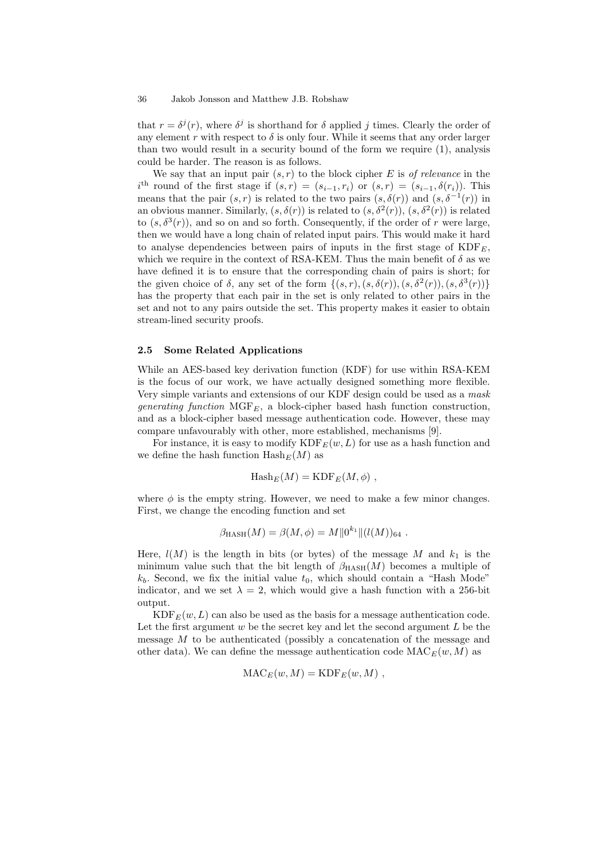that  $r = \delta^j(r)$ , where  $\delta^j$  is shorthand for  $\delta$  applied j times. Clearly the order of any element r with respect to  $\delta$  is only four. While it seems that any order larger than two would result in a security bound of the form we require (1), analysis could be harder. The reason is as follows.

We say that an input pair  $(s, r)$  to the block cipher E is of relevance in the  $i$ <sup>th</sup> round of the first stage if  $(s, r) = (s_{i-1}, r_i)$  or  $(s, r) = (s_{i-1}, \delta(r_i))$ . This means that the pair  $(s, r)$  is related to the two pairs  $(s, \delta(r))$  and  $(s, \delta^{-1}(r))$  in an obvious manner. Similarly,  $(s, \delta(r))$  is related to  $(s, \delta^2(r))$ ,  $(s, \delta^2(r))$  is related to  $(s, \delta^3(r))$ , and so on and so forth. Consequently, if the order of r were large, then we would have a long chain of related input pairs. This would make it hard to analyse dependencies between pairs of inputs in the first stage of  $KDF_E$ , which we require in the context of RSA-KEM. Thus the main benefit of  $\delta$  as we have defined it is to ensure that the corresponding chain of pairs is short; for the given choice of  $\delta$ , any set of the form  $\{(s,r), (s,\delta(r)), (s,\delta^2(r)), (s,\delta^3(r))\}$ has the property that each pair in the set is only related to other pairs in the set and not to any pairs outside the set. This property makes it easier to obtain stream-lined security proofs.

#### 2.5 Some Related Applications

While an AES-based key derivation function (KDF) for use within RSA-KEM is the focus of our work, we have actually designed something more flexible. Very simple variants and extensions of our KDF design could be used as a mask generating function  $MGF_E$ , a block-cipher based hash function construction, and as a block-cipher based message authentication code. However, these may compare unfavourably with other, more established, mechanisms [9].

For instance, it is easy to modify  $\text{KDF}_E(w,L)$  for use as a hash function and we define the hash function  $\text{Hash}_E(M)$  as

$$
Hash_E(M) = KDF_E(M, \phi) ,
$$

where  $\phi$  is the empty string. However, we need to make a few minor changes. First, we change the encoding function and set

$$
\beta_{\text{HASH}}(M) = \beta(M, \phi) = M \| 0^{k_1} \| (l(M))_{64} .
$$

Here,  $l(M)$  is the length in bits (or bytes) of the message M and  $k_1$  is the minimum value such that the bit length of  $\beta_{\text{HASH}}(M)$  becomes a multiple of  $k_b$ . Second, we fix the initial value  $t_0$ , which should contain a "Hash Mode" indicator, and we set  $\lambda = 2$ , which would give a hash function with a 256-bit output.

 $KDF_E(w, L)$  can also be used as the basis for a message authentication code. Let the first argument  $w$  be the secret key and let the second argument  $L$  be the message M to be authenticated (possibly a concatenation of the message and other data). We can define the message authentication code  $MAC_E(w, M)$  as

$$
\text{MAC}_{E}(w, M) = \text{KDF}_{E}(w, M) ,
$$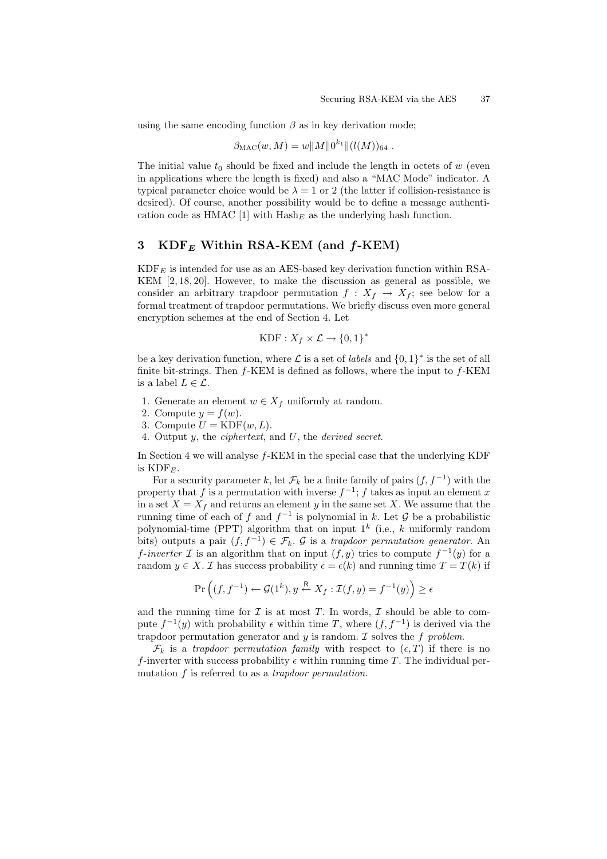using the same encoding function  $\beta$  as in key derivation mode;

$$
\beta_{\text{MAC}}(w, M) = w \|M\| 0^{k_1} \| (l(M))_{64} .
$$

The initial value  $t_0$  should be fixed and include the length in octets of w (even in applications where the length is fixed) and also a "MAC Mode" indicator. A typical parameter choice would be  $\lambda = 1$  or 2 (the latter if collision-resistance is desired). Of course, another possibility would be to define a message authentication code as HMAC [1] with  $\text{Hash}_E$  as the underlying hash function.

## 3  $KDF_E$  Within RSA-KEM (and  $f$ -KEM)

 $KDF_E$  is intended for use as an AES-based key derivation function within RSA-KEM [2, 18, 20]. However, to make the discussion as general as possible, we consider an arbitrary trapdoor permutation  $f: X_f \to X_f$ ; see below for a formal treatment of trapdoor permutations. We briefly discuss even more general encryption schemes at the end of Section 4. Let

$$
KDF: X_f \times \mathcal{L} \to \{0, 1\}^*
$$

be a key derivation function, where  $\mathcal L$  is a set of *labels* and  $\{0,1\}^*$  is the set of all finite bit-strings. Then  $f$ -KEM is defined as follows, where the input to  $f$ -KEM is a label  $L \in \mathcal{L}$ .

- 1. Generate an element  $w \in X_f$  uniformly at random.
- 2. Compute  $y = f(w)$ .
- 3. Compute  $U = \text{KDF}(w, L)$ .
- 4. Output y, the ciphertext, and U, the derived secret.

In Section 4 we will analyse f-KEM in the special case that the underlying KDF is  $KDF_E$ .

For a security parameter k, let  $\mathcal{F}_k$  be a finite family of pairs  $(f, f^{-1})$  with the property that f is a permutation with inverse  $f^{-1}$ ; f takes as input an element x in a set  $X = X_f$  and returns an element y in the same set X. We assume that the running time of each of f and  $f^{-1}$  is polynomial in k. Let G be a probabilistic polynomial-time (PPT) algorithm that on input  $1^k$  (i.e., k uniformly random bits) outputs a pair  $(f, f^{-1}) \in \mathcal{F}_k$ . G is a trapdoor permutation generator. An f-inverter  $\mathcal I$  is an algorithm that on input  $(f, y)$  tries to compute  $f^{-1}(y)$  for a random  $y \in X$ . *T* has success probability  $\epsilon = \epsilon(k)$  and running time  $T = T(k)$  if

$$
\Pr\left((f, f^{-1}) \leftarrow \mathcal{G}(1^k), y \stackrel{\mathsf{R}}{\leftarrow} X_f : \mathcal{I}(f, y) = f^{-1}(y)\right) \ge \epsilon
$$

and the running time for  $\mathcal I$  is at most  $T$ . In words,  $\mathcal I$  should be able to compute  $f^{-1}(y)$  with probability  $\epsilon$  within time T, where  $(f, f^{-1})$  is derived via the trapdoor permutation generator and  $y$  is random.  $\mathcal I$  solves the  $f$  problem.

 $\mathcal{F}_k$  is a trapdoor permutation family with respect to  $(\epsilon, T)$  if there is no f-inverter with success probability  $\epsilon$  within running time T. The individual permutation f is referred to as a *trapdoor permutation*.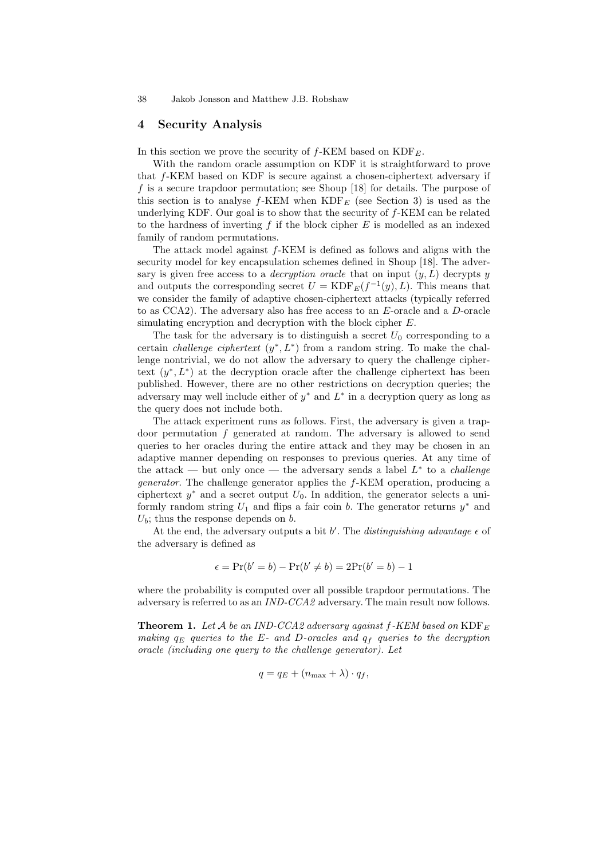### 4 Security Analysis

In this section we prove the security of  $f$ -KEM based on KDF<sub>E</sub>.

With the random oracle assumption on KDF it is straightforward to prove that f-KEM based on KDF is secure against a chosen-ciphertext adversary if f is a secure trapdoor permutation; see Shoup [18] for details. The purpose of this section is to analyse  $f$ -KEM when KDF<sub>E</sub> (see Section 3) is used as the underlying KDF. Our goal is to show that the security of f-KEM can be related to the hardness of inverting  $f$  if the block cipher  $E$  is modelled as an indexed family of random permutations.

The attack model against f-KEM is defined as follows and aligns with the security model for key encapsulation schemes defined in Shoup [18]. The adversary is given free access to a *decryption oracle* that on input  $(y, L)$  decrypts y and outputs the corresponding secret  $U = \text{KDF}_E(f^{-1}(y), L)$ . This means that we consider the family of adaptive chosen-ciphertext attacks (typically referred to as CCA2). The adversary also has free access to an E-oracle and a D-oracle simulating encryption and decryption with the block cipher  $E$ .

The task for the adversary is to distinguish a secret  $U_0$  corresponding to a certain *challenge ciphertext*  $(y^*, L^*)$  from a random string. To make the challenge nontrivial, we do not allow the adversary to query the challenge ciphertext  $(y^*, L^*)$  at the decryption oracle after the challenge ciphertext has been published. However, there are no other restrictions on decryption queries; the adversary may well include either of  $y^*$  and  $L^*$  in a decryption query as long as the query does not include both.

The attack experiment runs as follows. First, the adversary is given a trapdoor permutation  $f$  generated at random. The adversary is allowed to send queries to her oracles during the entire attack and they may be chosen in an adaptive manner depending on responses to previous queries. At any time of the attack — but only once — the adversary sends a label  $L^*$  to a *challenge* generator. The challenge generator applies the f-KEM operation, producing a ciphertext  $y^*$  and a secret output  $U_0$ . In addition, the generator selects a uniformly random string  $U_1$  and flips a fair coin b. The generator returns  $y^*$  and  $U_b$ ; thus the response depends on b.

At the end, the adversary outputs a bit  $b'$ . The *distinguishing advantage*  $\epsilon$  of the adversary is defined as

$$
\epsilon = \Pr(b' = b) - \Pr(b' \neq b) = 2\Pr(b' = b) - 1
$$

where the probability is computed over all possible trapdoor permutations. The adversary is referred to as an IND-CCA2 adversary. The main result now follows.

**Theorem 1.** Let A be an IND-CCA2 adversary against f-KEM based on KDF<sub>E</sub> making  $q_E$  queries to the E- and D-oracles and  $q_f$  queries to the decryption oracle (including one query to the challenge generator). Let

$$
q = q_E + (n_{\text{max}} + \lambda) \cdot q_f,
$$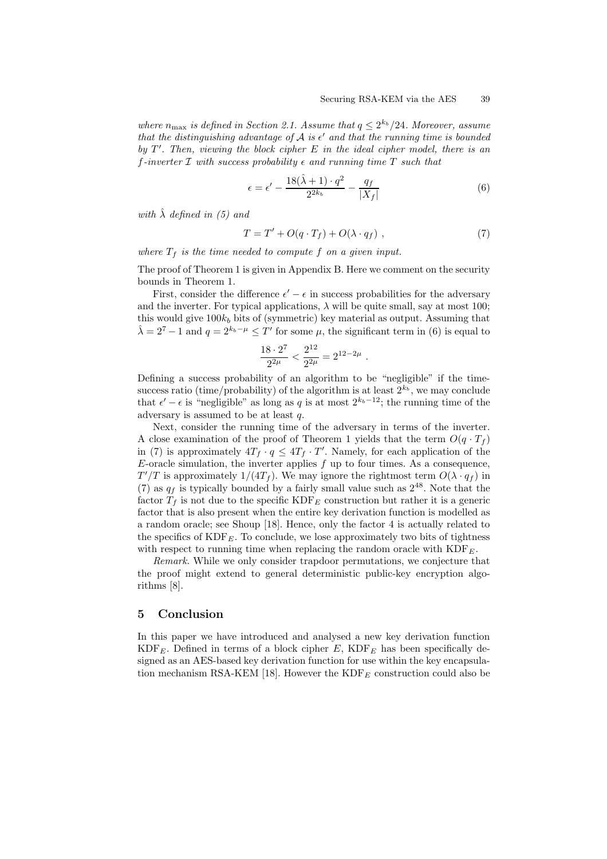where  $n_{\text{max}}$  is defined in Section 2.1. Assume that  $q \leq 2^{k_b}/24$ . Moreover, assume that the distinguishing advantage of  $A$  is  $\epsilon'$  and that the running time is bounded by  $T'$ . Then, viewing the block cipher  $E$  in the ideal cipher model, there is an  $f$ -inverter  $\mathcal I$  with success probability  $\epsilon$  and running time  $T$  such that

$$
\epsilon = \epsilon' - \frac{18(\hat{\lambda} + 1) \cdot q^2}{2^{2k_b}} - \frac{q_f}{|X_f|} \tag{6}
$$

with  $\hat{\lambda}$  defined in (5) and

$$
T = T' + O(q \cdot T_f) + O(\lambda \cdot q_f) \tag{7}
$$

.

where  $T_f$  is the time needed to compute f on a given input.

The proof of Theorem 1 is given in Appendix B. Here we comment on the security bounds in Theorem 1.

First, consider the difference  $\epsilon' - \epsilon$  in success probabilities for the adversary and the inverter. For typical applications,  $\lambda$  will be quite small, say at most 100; this would give  $100k_b$  bits of (symmetric) key material as output. Assuming that  $\hat{\lambda} = 2^7 - 1$  and  $q = 2^{k_b - \mu} \le T'$  for some  $\mu$ , the significant term in (6) is equal to

$$
\frac{18 \cdot 2^7}{2^{2\mu}} < \frac{2^{12}}{2^{2\mu}} = 2^{12 - 2\mu}
$$

Defining a success probability of an algorithm to be "negligible" if the timesuccess ratio (time/probability) of the algorithm is at least  $2^{k_b}$ , we may conclude that  $\epsilon' - \epsilon$  is "negligible" as long as q is at most  $2^{k_b-12}$ ; the running time of the adversary is assumed to be at least q.

Next, consider the running time of the adversary in terms of the inverter. A close examination of the proof of Theorem 1 yields that the term  $O(q \cdot T_f)$ in (7) is approximately  $4T_f \cdot q \leq 4T_f \cdot T'$ . Namely, for each application of the  $E$ -oracle simulation, the inverter applies f up to four times. As a consequence,  $T'/T$  is approximately  $1/(4T_f)$ . We may ignore the rightmost term  $O(\lambda \cdot q_f)$  in (7) as  $q_f$  is typically bounded by a fairly small value such as  $2^{48}$ . Note that the factor  $T_f$  is not due to the specific KDF<sub>E</sub> construction but rather it is a generic factor that is also present when the entire key derivation function is modelled as a random oracle; see Shoup [18]. Hence, only the factor 4 is actually related to the specifics of  $KDF_E$ . To conclude, we lose approximately two bits of tightness with respect to running time when replacing the random oracle with  $KDF_E$ .

Remark. While we only consider trapdoor permutations, we conjecture that the proof might extend to general deterministic public-key encryption algorithms [8].

#### 5 Conclusion

In this paper we have introduced and analysed a new key derivation function  $\text{KDF}_E$ . Defined in terms of a block cipher E,  $\text{KDF}_E$  has been specifically designed as an AES-based key derivation function for use within the key encapsulation mechanism RSA-KEM [18]. However the  $KDF_E$  construction could also be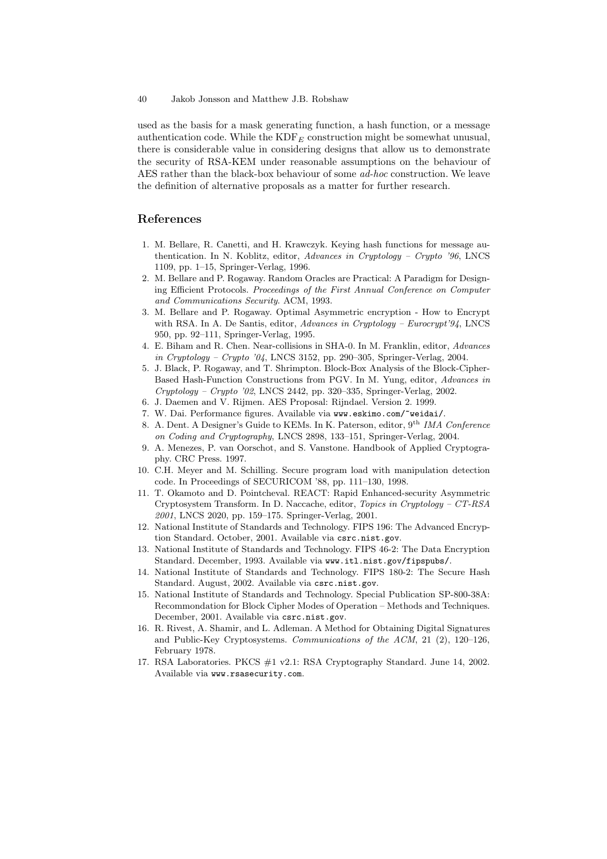used as the basis for a mask generating function, a hash function, or a message authentication code. While the  $KDF_E$  construction might be somewhat unusual, there is considerable value in considering designs that allow us to demonstrate the security of RSA-KEM under reasonable assumptions on the behaviour of AES rather than the black-box behaviour of some ad-hoc construction. We leave the definition of alternative proposals as a matter for further research.

## References

- 1. M. Bellare, R. Canetti, and H. Krawczyk. Keying hash functions for message authentication. In N. Koblitz, editor, Advances in Cryptology – Crypto '96, LNCS 1109, pp. 1–15, Springer-Verlag, 1996.
- 2. M. Bellare and P. Rogaway. Random Oracles are Practical: A Paradigm for Designing Efficient Protocols. Proceedings of the First Annual Conference on Computer and Communications Security. ACM, 1993.
- 3. M. Bellare and P. Rogaway. Optimal Asymmetric encryption How to Encrypt with RSA. In A. De Santis, editor, Advances in Cryptology – Eurocrypt'94, LNCS 950, pp. 92–111, Springer-Verlag, 1995.
- 4. E. Biham and R. Chen. Near-collisions in SHA-0. In M. Franklin, editor, Advances in Cryptology – Crypto '04, LNCS 3152, pp. 290–305, Springer-Verlag, 2004.
- 5. J. Black, P. Rogaway, and T. Shrimpton. Block-Box Analysis of the Block-Cipher-Based Hash-Function Constructions from PGV. In M. Yung, editor, Advances in Cryptology – Crypto '02, LNCS 2442, pp. 320–335, Springer-Verlag, 2002.
- 6. J. Daemen and V. Rijmen. AES Proposal: Rijndael. Version 2. 1999.
- 7. W. Dai. Performance figures. Available via www.eskimo.com/~weidai/.
- 8. A. Dent. A Designer's Guide to KEMs. In K. Paterson, editor, 9<sup>th</sup> IMA Conference on Coding and Cryptography, LNCS 2898, 133–151, Springer-Verlag, 2004.
- 9. A. Menezes, P. van Oorschot, and S. Vanstone. Handbook of Applied Cryptography. CRC Press. 1997.
- 10. C.H. Meyer and M. Schilling. Secure program load with manipulation detection code. In Proceedings of SECURICOM '88, pp. 111–130, 1998.
- 11. T. Okamoto and D. Pointcheval. REACT: Rapid Enhanced-security Asymmetric Cryptosystem Transform. In D. Naccache, editor, Topics in Cryptology – CT-RSA 2001, LNCS 2020, pp. 159–175. Springer-Verlag, 2001.
- 12. National Institute of Standards and Technology. FIPS 196: The Advanced Encryption Standard. October, 2001. Available via csrc.nist.gov.
- 13. National Institute of Standards and Technology. FIPS 46-2: The Data Encryption Standard. December, 1993. Available via www.itl.nist.gov/fipspubs/.
- 14. National Institute of Standards and Technology. FIPS 180-2: The Secure Hash Standard. August, 2002. Available via csrc.nist.gov.
- 15. National Institute of Standards and Technology. Special Publication SP-800-38A: Recommondation for Block Cipher Modes of Operation – Methods and Techniques. December, 2001. Available via csrc.nist.gov.
- 16. R. Rivest, A. Shamir, and L. Adleman. A Method for Obtaining Digital Signatures and Public-Key Cryptosystems. Communications of the ACM, 21 (2), 120–126, February 1978.
- 17. RSA Laboratories. PKCS #1 v2.1: RSA Cryptography Standard. June 14, 2002. Available via www.rsasecurity.com.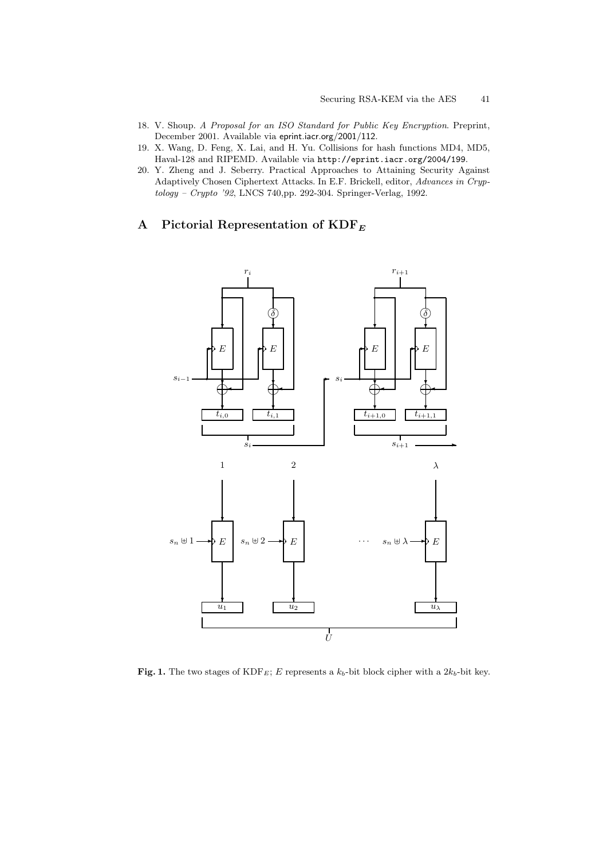- 18. V. Shoup. A Proposal for an ISO Standard for Public Key Encryption. Preprint, December 2001. Available via eprint.iacr.org/2001/112.
- 19. X. Wang, D. Feng, X. Lai, and H. Yu. Collisions for hash functions MD4, MD5, Haval-128 and RIPEMD. Available via http://eprint.iacr.org/2004/199.
- 20. Y. Zheng and J. Seberry. Practical Approaches to Attaining Security Against Adaptively Chosen Ciphertext Attacks. In E.F. Brickell, editor, Advances in Cryptology – Crypto '92, LNCS 740,pp. 292-304. Springer-Verlag, 1992.

# A Pictorial Representation of  $KDF_E$



Fig. 1. The two stages of  $\text{KDF}_E$ ; E represents a  $k_b$ -bit block cipher with a  $2k_b$ -bit key.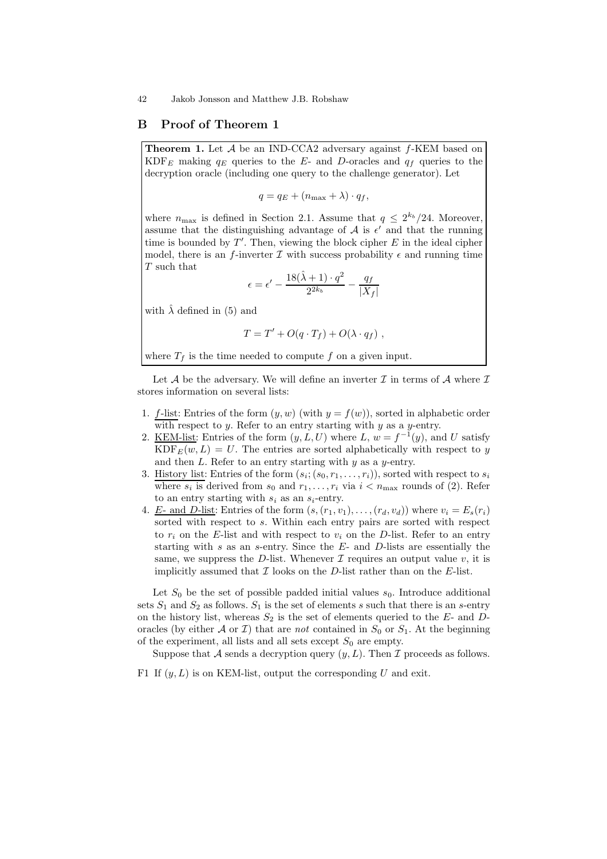### B Proof of Theorem 1

**Theorem 1.** Let  $A$  be an IND-CCA2 adversary against  $f$ -KEM based on KDF<sub>E</sub> making  $q_E$  queries to the E- and D-oracles and  $q_f$  queries to the decryption oracle (including one query to the challenge generator). Let

$$
q = q_E + (n_{\text{max}} + \lambda) \cdot q_f,
$$

where  $n_{\text{max}}$  is defined in Section 2.1. Assume that  $q \leq 2^{k_b}/24$ . Moreover, assume that the distinguishing advantage of  $A$  is  $\epsilon'$  and that the running time is bounded by  $T'$ . Then, viewing the block cipher  $E$  in the ideal cipher model, there is an f-inverter  $\mathcal I$  with success probability  $\epsilon$  and running time T such that

$$
\epsilon = \epsilon' - \frac{18(\hat{\lambda} + 1) \cdot q^2}{2^{2k_b}} - \frac{q_f}{|X_f|}
$$

with  $\hat{\lambda}$  defined in (5) and

 $T = T' + O(q \cdot T_f) + O(\lambda \cdot q_f)$ ,

where  $T_f$  is the time needed to compute f on a given input.

Let A be the adversary. We will define an inverter  $\mathcal I$  in terms of A where  $\mathcal I$ stores information on several lists:

- 1. f-list: Entries of the form  $(y, w)$  (with  $y = f(w)$ ), sorted in alphabetic order with respect to y. Refer to an entry starting with y as a y-entry.
- 2. <u>KEM-list</u>: Entries of the form  $(y, L, U)$  where L,  $w = f^{-1}(y)$ , and U satisfy  $KDF_E(w,L) = U$ . The entries are sorted alphabetically with respect to y and then  $L$ . Refer to an entry starting with  $y$  as a  $y$ -entry.
- 3. History list: Entries of the form  $(s_i; (s_0, r_1, \ldots, r_i))$ , sorted with respect to  $s_i$ where  $s_i$  is derived from  $s_0$  and  $r_1, \ldots, r_i$  via  $i < n_{\text{max}}$  rounds of (2). Refer to an entry starting with  $s_i$  as an  $s_i$ -entry.
- 4. E- and D-list: Entries of the form  $(s,(r_1,v_1),\ldots,(r_d,v_d))$  where  $v_i = E_s(r_i)$ sorted with respect to s. Within each entry pairs are sorted with respect to  $r_i$  on the E-list and with respect to  $v_i$  on the D-list. Refer to an entry starting with s as an s-entry. Since the  $E$ - and  $D$ -lists are essentially the same, we suppress the D-list. Whenever  $\mathcal I$  requires an output value  $v$ , it is implicitly assumed that  $\mathcal I$  looks on the D-list rather than on the E-list.

Let  $S_0$  be the set of possible padded initial values  $s_0$ . Introduce additional sets  $S_1$  and  $S_2$  as follows.  $S_1$  is the set of elements s such that there is an s-entry on the history list, whereas  $S_2$  is the set of elements queried to the  $E$ - and  $D$ oracles (by either A or I) that are not contained in  $S_0$  or  $S_1$ . At the beginning of the experiment, all lists and all sets except  $S_0$  are empty.

Suppose that A sends a decryption query  $(y, L)$ . Then I proceeds as follows.

F1 If  $(y, L)$  is on KEM-list, output the corresponding U and exit.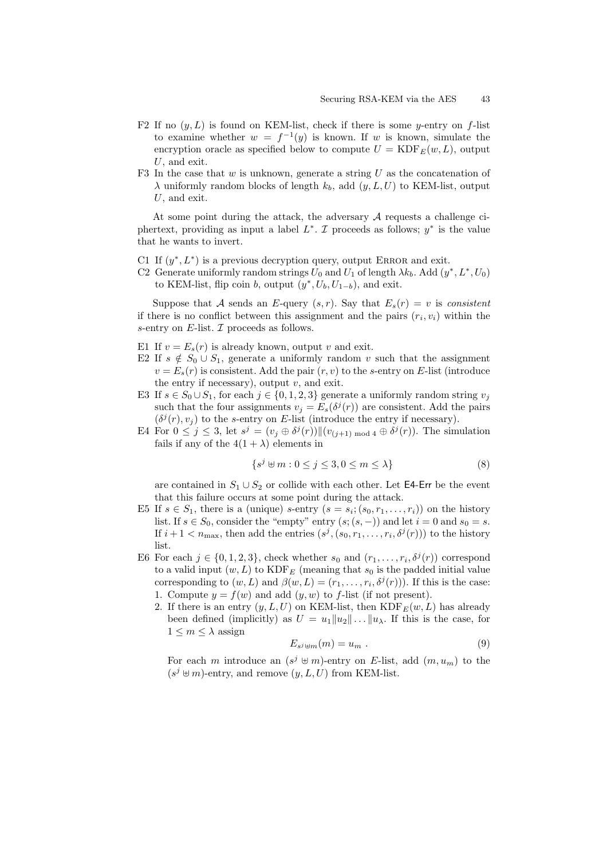- F2 If no  $(y, L)$  is found on KEM-list, check if there is some y-entry on f-list to examine whether  $w = f^{-1}(y)$  is known. If w is known, simulate the encryption oracle as specified below to compute  $U = KDF_E(w, L)$ , output U, and exit.
- F3 In the case that  $w$  is unknown, generate a string  $U$  as the concatenation of  $\lambda$  uniformly random blocks of length  $k_b$ , add  $(y, L, U)$  to KEM-list, output U, and exit.

At some point during the attack, the adversary  $A$  requests a challenge ciphertext, providing as input a label  $L^*$ . *I* proceeds as follows;  $y^*$  is the value that he wants to invert.

- C1 If  $(y^*, L^*)$  is a previous decryption query, output ERROR and exit.
- C2 Generate uniformly random strings  $U_0$  and  $U_1$  of length  $\lambda k_b$ . Add  $(y^*, L^*, U_0)$ to KEM-list, flip coin b, output  $(y^*, U_b, U_{1-b})$ , and exit.

Suppose that A sends an E-query  $(s, r)$ . Say that  $E_s(r) = v$  is consistent if there is no conflict between this assignment and the pairs  $(r_i, v_i)$  within the s-entry on  $E$ -list.  $\mathcal I$  proceeds as follows.

- E1 If  $v = E_s(r)$  is already known, output v and exit.
- E2 If  $s \notin S_0 \cup S_1$ , generate a uniformly random v such that the assignment  $v = E_s(r)$  is consistent. Add the pair  $(r, v)$  to the s-entry on E-list (introduce the entry if necessary), output  $v$ , and exit.
- E3 If  $s \in S_0 \cup S_1$ , for each  $j \in \{0, 1, 2, 3\}$  generate a uniformly random string  $v_j$ such that the four assignments  $v_j = E_s(\delta^j(r))$  are consistent. Add the pairs  $(\delta^j(r), v_j)$  to the s-entry on E-list (introduce the entry if necessary).
- E4 For  $0 \leq j \leq 3$ , let  $s^j = (v_j \oplus \delta^j(r)) ||(v_{(j+1) \mod 4} \oplus \delta^j(r))$ . The simulation fails if any of the  $4(1 + \lambda)$  elements in

$$
\{s^j \uplus m : 0 \le j \le 3, 0 \le m \le \lambda\}
$$
\n
$$
(8)
$$

are contained in  $S_1 \cup S_2$  or collide with each other. Let E4-Err be the event that this failure occurs at some point during the attack.

- E5 If  $s \in S_1$ , there is a (unique) s-entry  $(s = s_i; (s_0, r_1, \ldots, r_i))$  on the history list. If  $s \in S_0$ , consider the "empty" entry  $(s; (s, -))$  and let  $i = 0$  and  $s_0 = s$ . If  $i+1 < n_{\text{max}}$ , then add the entries  $(s^j, (s_0, r_1, \ldots, r_i, \delta^j(r)))$  to the history list.
- E6 For each  $j \in \{0, 1, 2, 3\}$ , check whether  $s_0$  and  $(r_1, \ldots, r_i, \delta^j(r))$  correspond to a valid input  $(w, L)$  to  $KDF_E$  (meaning that  $s_0$  is the padded initial value corresponding to  $(w, L)$  and  $\beta(w, L) = (r_1, \ldots, r_i, \delta^j(r))$ . If this is the case:
	- 1. Compute  $y = f(w)$  and add  $(y, w)$  to f-list (if not present).
	- 2. If there is an entry  $(y, L, U)$  on KEM-list, then KDF<sub>E</sub> $(w, L)$  has already been defined (implicitly) as  $U = u_1 ||u_2|| \dots ||u_\lambda$ . If this is the case, for  $1 \leq m \leq \lambda$  assign

$$
E_{s^j \oplus m}(m) = u_m \tag{9}
$$

For each m introduce an  $(s^j \oplus m)$ -entry on E-list, add  $(m, u_m)$  to the  $(s^j \uplus m)$ -entry, and remove  $(y, L, U)$  from KEM-list.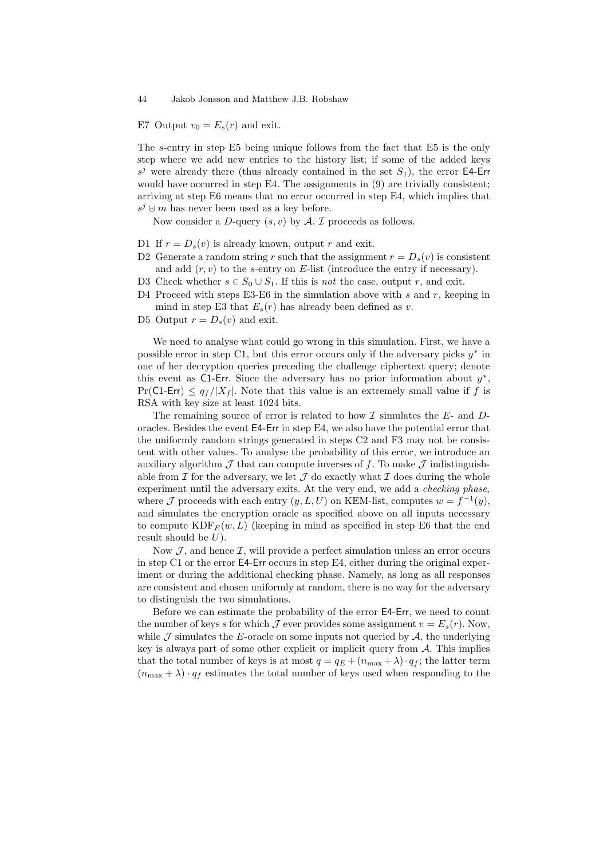E7 Output  $v_0 = E_s(r)$  and exit.

The s-entry in step E5 being unique follows from the fact that E5 is the only step where we add new entries to the history list; if some of the added keys  $s^j$  were already there (thus already contained in the set  $S_1$ ), the error E4-Err would have occurred in step E4. The assignments in  $(9)$  are trivially consistent; arriving at step E6 means that no error occurred in step E4, which implies that  $s^j \uplus m$  has never been used as a key before.

Now consider a D-query  $(s, v)$  by A. I proceeds as follows.

- D1 If  $r = D_s(v)$  is already known, output r and exit.
- D2 Generate a random string r such that the assignment  $r = D_s(v)$  is consistent and add  $(r, v)$  to the s-entry on E-list (introduce the entry if necessary).
- D3 Check whether  $s \in S_0 \cup S_1$ . If this is *not* the case, output r, and exit.
- D4 Proceed with steps E3-E6 in the simulation above with  $s$  and  $r$ , keeping in mind in step E3 that  $E_s(r)$  has already been defined as v.
- D5 Output  $r = D_s(v)$  and exit.

We need to analyse what could go wrong in this simulation. First, we have a possible error in step C1, but this error occurs only if the adversary picks  $y^*$  in one of her decryption queries preceding the challenge ciphertext query; denote this event as  $C1$ -Err. Since the adversary has no prior information about  $y^*$ ,  $Pr(C1-Err) \leq q_f/|X_f|$ . Note that this value is an extremely small value if f is RSA with key size at least 1024 bits.

The remaining source of error is related to how  $\mathcal I$  simulates the  $E$ - and  $D$ oracles. Besides the event E4-Err in step E4, we also have the potential error that the uniformly random strings generated in steps C2 and F3 may not be consistent with other values. To analyse the probability of this error, we introduce an auxiliary algorithm  $\mathcal J$  that can compute inverses of f. To make  $\mathcal J$  indistinguishable from  $\mathcal I$  for the adversary, we let  $\mathcal J$  do exactly what  $\mathcal I$  does during the whole experiment until the adversary exits. At the very end, we add a *checking phase*, where J proceeds with each entry  $(y, L, U)$  on KEM-list, computes  $w = f^{-1}(y)$ , and simulates the encryption oracle as specified above on all inputs necessary to compute  $KDF_E(w, L)$  (keeping in mind as specified in step E6 that the end result should be  $U$ ).

Now  $J$ , and hence  $I$ , will provide a perfect simulation unless an error occurs in step C1 or the error E4-Err occurs in step E4, either during the original experiment or during the additional checking phase. Namely, as long as all responses are consistent and chosen uniformly at random, there is no way for the adversary to distinguish the two simulations.

Before we can estimate the probability of the error E4-Err, we need to count the number of keys s for which  $\mathcal J$  ever provides some assignment  $v = E_s(r)$ . Now, while  $\mathcal J$  simulates the E-oracle on some inputs not queried by  $\mathcal A$ , the underlying key is always part of some other explicit or implicit query from  $A$ . This implies that the total number of keys is at most  $q = q_E + (n_{\text{max}} + \lambda) \cdot q_f$ ; the latter term  $(n_{\text{max}} + \lambda) \cdot q_f$  estimates the total number of keys used when responding to the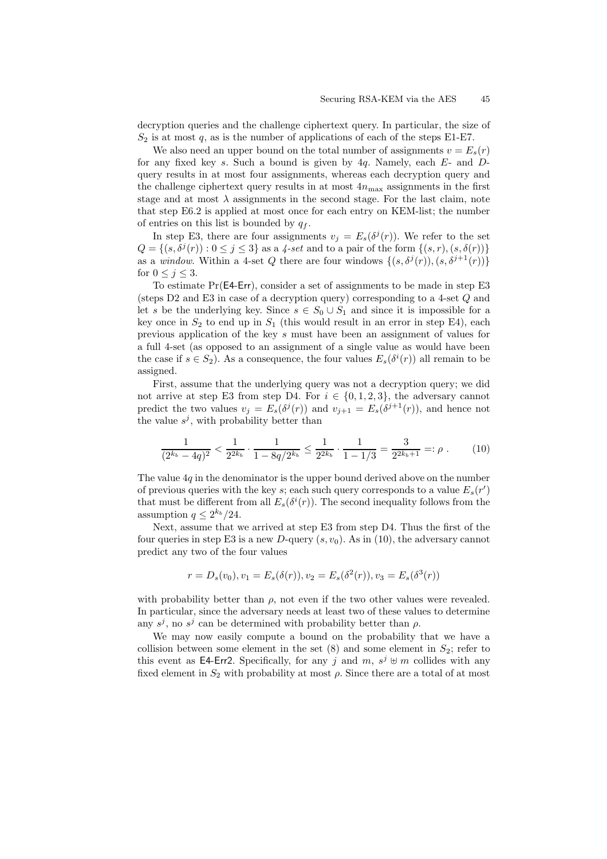decryption queries and the challenge ciphertext query. In particular, the size of  $S_2$  is at most q, as is the number of applications of each of the steps E1-E7.

We also need an upper bound on the total number of assignments  $v = E_s(r)$ for any fixed key s. Such a bound is given by  $4q$ . Namely, each  $E$ - and  $D$ query results in at most four assignments, whereas each decryption query and the challenge ciphertext query results in at most  $4n_{\text{max}}$  assignments in the first stage and at most  $\lambda$  assignments in the second stage. For the last claim, note that step E6.2 is applied at most once for each entry on KEM-list; the number of entries on this list is bounded by  $q_f$ .

In step E3, there are four assignments  $v_j = E_s(\delta^j(r))$ . We refer to the set  $Q = \{(s, \delta^j(r)) : 0 \le j \le 3\}$  as a 4-set and to a pair of the form  $\{(s, r), (s, \delta(r))\}$ as a *window*. Within a 4-set Q there are four windows  $\{(s, \delta^{j}(r)), (s, \delta^{j+1}(r))\}$ for  $0 \leq j \leq 3$ .

To estimate  $Pr(E4-Err)$ , consider a set of assignments to be made in step E3 (steps D2 and E3 in case of a decryption query) corresponding to a 4-set Q and let s be the underlying key. Since  $s \in S_0 \cup S_1$  and since it is impossible for a key once in  $S_2$  to end up in  $S_1$  (this would result in an error in step E4), each previous application of the key s must have been an assignment of values for a full 4-set (as opposed to an assignment of a single value as would have been the case if  $s \in S_2$ ). As a consequence, the four values  $E_s(\delta^i(r))$  all remain to be assigned.

First, assume that the underlying query was not a decryption query; we did not arrive at step E3 from step D4. For  $i \in \{0, 1, 2, 3\}$ , the adversary cannot predict the two values  $v_j = E_s(\delta^j(r))$  and  $v_{j+1} = E_s(\delta^{j+1}(r))$ , and hence not the value  $s^j$ , with probability better than

$$
\frac{1}{(2^{k_b} - 4q)^2} < \frac{1}{2^{2k_b}} \cdot \frac{1}{1 - 8q/2^{k_b}} \le \frac{1}{2^{2k_b}} \cdot \frac{1}{1 - 1/3} = \frac{3}{2^{2k_b + 1}} =: \rho \tag{10}
$$

The value  $4q$  in the denominator is the upper bound derived above on the number of previous queries with the key s; each such query corresponds to a value  $E_s(r')$ that must be different from all  $E_s(\delta^i(r))$ . The second inequality follows from the assumption  $q \leq 2^{k_b}/24$ .

Next, assume that we arrived at step E3 from step D4. Thus the first of the four queries in step E3 is a new D-query  $(s, v_0)$ . As in (10), the adversary cannot predict any two of the four values

$$
r = D_s(v_0), v_1 = E_s(\delta(r)), v_2 = E_s(\delta^2(r)), v_3 = E_s(\delta^3(r))
$$

with probability better than  $\rho$ , not even if the two other values were revealed. In particular, since the adversary needs at least two of these values to determine any  $s^j$ , no  $s^j$  can be determined with probability better than  $\rho$ .

We may now easily compute a bound on the probability that we have a collision between some element in the set  $(8)$  and some element in  $S_2$ ; refer to this event as E4-Err2. Specifically, for any j and m,  $s^j \notin m$  collides with any fixed element in  $S_2$  with probability at most  $\rho$ . Since there are a total of at most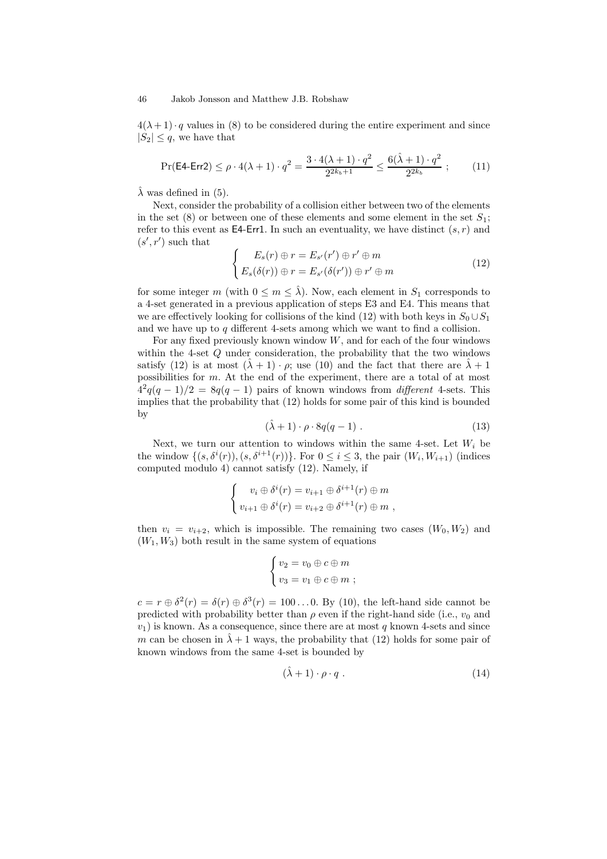$4(\lambda+1)\cdot q$  values in (8) to be considered during the entire experiment and since  $|S_2| \leq q$ , we have that

$$
\Pr(\text{E4-Err2}) \le \rho \cdot 4(\lambda + 1) \cdot q^2 = \frac{3 \cdot 4(\lambda + 1) \cdot q^2}{2^{2k_b + 1}} \le \frac{6(\hat{\lambda} + 1) \cdot q^2}{2^{2k_b}} ;\tag{11}
$$

 $\lambda$  was defined in (5).

Next, consider the probability of a collision either between two of the elements in the set  $(8)$  or between one of these elements and some element in the set  $S_1$ ; refer to this event as  $E4-Err1$ . In such an eventuality, we have distinct  $(s, r)$  and  $(s', r')$  such that

$$
\begin{cases}\nE_s(r) \oplus r = E_{s'}(r') \oplus r' \oplus m \\
E_s(\delta(r)) \oplus r = E_{s'}(\delta(r')) \oplus r' \oplus m\n\end{cases}
$$
\n(12)

for some integer m (with  $0 \leq m \leq \lambda$ ). Now, each element in  $S_1$  corresponds to a 4-set generated in a previous application of steps E3 and E4. This means that we are effectively looking for collisions of the kind (12) with both keys in  $S_0 \cup S_1$ and we have up to  $q$  different 4-sets among which we want to find a collision.

For any fixed previously known window  $W$ , and for each of the four windows within the 4-set Q under consideration, the probability that the two windows satisfy (12) is at most  $(\lambda + 1) \cdot \rho$ ; use (10) and the fact that there are  $\lambda + 1$ possibilities for m. At the end of the experiment, there are a total of at most  $4^2q(q-1)/2 = 8q(q-1)$  pairs of known windows from *different* 4-sets. This implies that the probability that (12) holds for some pair of this kind is bounded by

$$
(\hat{\lambda} + 1) \cdot \rho \cdot 8q(q - 1) \tag{13}
$$

Next, we turn our attention to windows within the same 4-set. Let  $W_i$  be the window  $\{(s, \delta^{i}(r)), (s, \delta^{i+1}(r))\}$ . For  $0 \le i \le 3$ , the pair  $(W_i, W_{i+1})$  (indices computed modulo 4) cannot satisfy (12). Namely, if

$$
\begin{cases}\nv_i \oplus \delta^i(r) = v_{i+1} \oplus \delta^{i+1}(r) \oplus m \\
v_{i+1} \oplus \delta^i(r) = v_{i+2} \oplus \delta^{i+1}(r) \oplus m\n\end{cases}
$$

then  $v_i = v_{i+2}$ , which is impossible. The remaining two cases  $(W_0, W_2)$  and  $(W_1, W_3)$  both result in the same system of equations

$$
\begin{cases} v_2 = v_0 \oplus c \oplus m \\ v_3 = v_1 \oplus c \oplus m \end{cases}
$$

 $c = r \oplus \delta^2(r) = \delta(r) \oplus \delta^3(r) = 100...0$ . By (10), the left-hand side cannot be predicted with probability better than  $\rho$  even if the right-hand side (i.e.,  $v_0$  and  $v_1$ ) is known. As a consequence, since there are at most q known 4-sets and since m can be chosen in  $\lambda + 1$  ways, the probability that (12) holds for some pair of known windows from the same 4-set is bounded by

$$
(\hat{\lambda} + 1) \cdot \rho \cdot q \tag{14}
$$